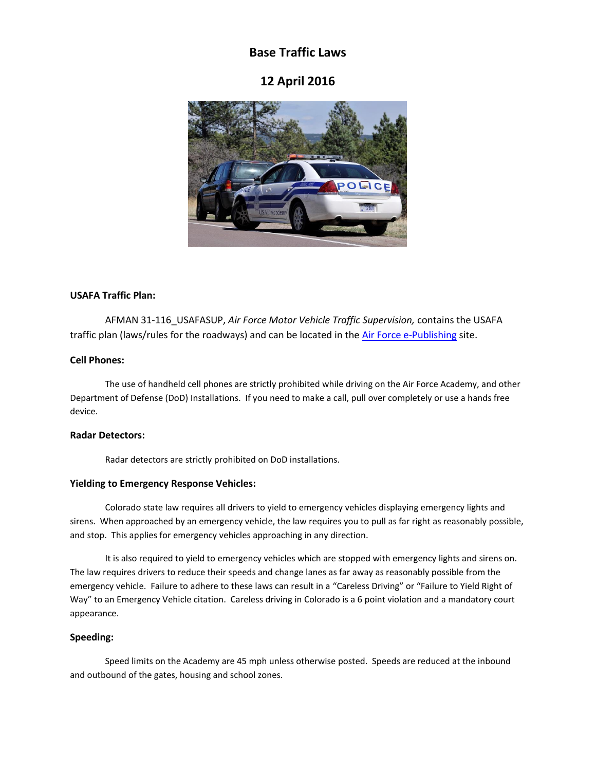# **Base Traffic Laws**

## **12 April 2016**



#### **USAFA Traffic Plan:**

AFMAN 31-116\_USAFASUP, *Air Force Motor Vehicle Traffic Supervision,* contains the USAFA traffic plan (laws/rules for the roadways) and can be located in the [Air Force e-Publishing](http://www.e-publishing.af.mil/) site.

#### **Cell Phones:**

The use of handheld cell phones are strictly prohibited while driving on the Air Force Academy, and other Department of Defense (DoD) Installations. If you need to make a call, pull over completely or use a hands free device.

#### **Radar Detectors:**

Radar detectors are strictly prohibited on DoD installations.

### **Yielding to Emergency Response Vehicles:**

Colorado state law requires all drivers to yield to emergency vehicles displaying emergency lights and sirens. When approached by an emergency vehicle, the law requires you to pull as far right as reasonably possible, and stop. This applies for emergency vehicles approaching in any direction.

It is also required to yield to emergency vehicles which are stopped with emergency lights and sirens on. The law requires drivers to reduce their speeds and change lanes as far away as reasonably possible from the emergency vehicle. Failure to adhere to these laws can result in a "Careless Driving" or "Failure to Yield Right of Way" to an Emergency Vehicle citation. Careless driving in Colorado is a 6 point violation and a mandatory court appearance.

### **Speeding:**

Speed limits on the Academy are 45 mph unless otherwise posted. Speeds are reduced at the inbound and outbound of the gates, housing and school zones.